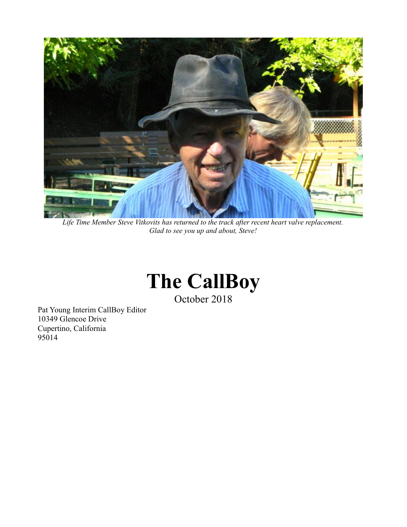

*Life Time Member Steve Vitkovits has returned to the track after recent heart valve replacement. Glad to see you up and about, Steve!*

## **The CallBoy**

October 2018

Pat Young Interim CallBoy Editor 10349 Glencoe Drive Cupertino, California 95014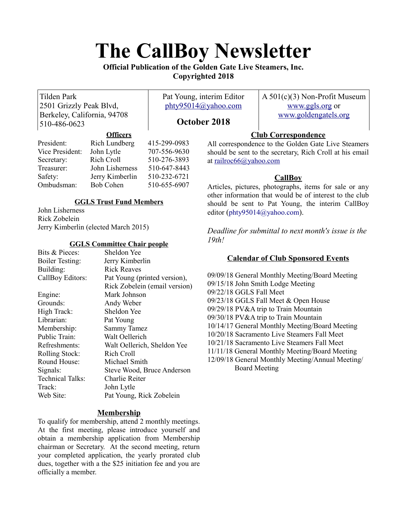# **The CallBoy Newsletter**

**Official Publication of the Golden Gate Live Steamers, Inc. Copyrighted 2018**

Tilden Park 2501 Grizzly Peak Blvd, Berkeley, California, 94708 510-486-0623

Pat Young, interim Editor [phty95014@yahoo.com](mailto:phty95014@yahoo.com)

A 501(c)(3) Non-Profit Museum [www.ggls.org](http://www.ggls.org/) or [www.goldengatels.org](http://www.goldengatels.org/)

## **October 2018**

## **Club Correspondence**

|                 | <b>OHICELS</b>   |              |
|-----------------|------------------|--------------|
| President:      | Rich Lundberg    | 415-299-0983 |
| Vice President: | John Lytle       | 707-556-9630 |
| Secretary:      | Rich Croll       | 510-276-3893 |
| Treasurer:      | John Lisherness  | 510-647-8443 |
| Safety:         | Jerry Kimberlin  | 510-232-6721 |
| Ombudsman:      | <b>Bob Cohen</b> | 510-655-6907 |
|                 |                  |              |

**Officers**

## **GGLS Trust Fund Members**

John Lisherness Rick Zobelein Jerry Kimberlin (elected March 2015)

## **GGLS Committee Chair people**

| Sheldon Yee                   |
|-------------------------------|
| Jerry Kimberlin               |
| <b>Rick Reaves</b>            |
| Pat Young (printed version),  |
| Rick Zobelein (email version) |
| Mark Johnson                  |
| Andy Weber                    |
| Sheldon Yee                   |
| Pat Young                     |
| <b>Sammy Tamez</b>            |
| Walt Oellerich                |
| Walt Oellerich, Sheldon Yee   |
| Rich Croll                    |
| Michael Smith                 |
| Steve Wood, Bruce Anderson    |
| Charlie Reiter                |
| John Lytle                    |
| Pat Young, Rick Zobelein      |
|                               |

## **Membership**

To qualify for membership, attend 2 monthly meetings. At the first meeting, please introduce yourself and obtain a membership application from Membership chairman or Secretary. At the second meeting, return your completed application, the yearly prorated club dues, together with a the \$25 initiation fee and you are officially a member.

All correspondence to the Golden Gate Live Steamers should be sent to the secretary, Rich Croll at his email at [railroc66@yahoo.com](mailto:railroc66@yahoo.com)

## **CallBoy**

Articles, pictures, photographs, items for sale or any other information that would be of interest to the club should be sent to Pat Young, the interim CallBoy editor ([phty95014@yahoo.com](mailto:phty95014@yahoo.com)).

*Deadline for submittal to next month's issue is the 19th!*

## **Calendar of Club Sponsored Events**

09/09/18 General Monthly Meeting/Board Meeting 09/15/18 John Smith Lodge Meeting 09/22/18 GGLS Fall Meet 09/23/18 GGLS Fall Meet & Open House 09/29/18 PV&A trip to Train Mountain 09/30/18 PV&A trip to Train Mountain 10/14/17 General Monthly Meeting/Board Meeting 10/20/18 Sacramento Live Steamers Fall Meet 10/21/18 Sacramento Live Steamers Fall Meet 11/11/18 General Monthly Meeting/Board Meeting 12/09/18 General Monthly Meeting/Annual Meeting/ Board Meeting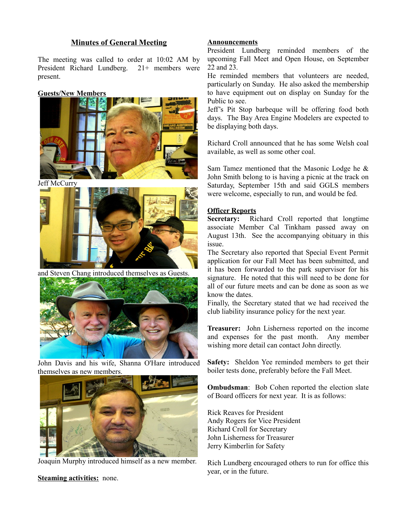### **Minutes of General Meeting**

The meeting was called to order at 10:02 AM by President Richard Lundberg. 21+ members were present.

#### **Guests/New Members**



Jeff McCurry



and Steven Chang introduced themselves as Guests.



John Davis and his wife, Shanna O'Hare introduced themselves as new members.



Joaquin Murphy introduced himself as a new member.

**Steaming activities:** none.

#### **Announcements**

President Lundberg reminded members of the upcoming Fall Meet and Open House, on September 22 and 23.

He reminded members that volunteers are needed, particularly on Sunday. He also asked the membership to have equipment out on display on Sunday for the Public to see.

Jeff's Pit Stop barbeque will be offering food both days. The Bay Area Engine Modelers are expected to be displaying both days.

Richard Croll announced that he has some Welsh coal available, as well as some other coal.

Sam Tamez mentioned that the Masonic Lodge he & John Smith belong to is having a picnic at the track on Saturday, September 15th and said GGLS members were welcome, especially to run, and would be fed.

#### **Officer Reports**

**Secretary:** Richard Croll reported that longtime associate Member Cal Tinkham passed away on August 13th. See the accompanying obituary in this issue.

The Secretary also reported that Special Event Permit application for our Fall Meet has been submitted, and it has been forwarded to the park supervisor for his signature. He noted that this will need to be done for all of our future meets and can be done as soon as we know the dates.

Finally, the Secretary stated that we had received the club liability insurance policy for the next year.

**Treasurer:** John Lisherness reported on the income and expenses for the past month. Any member wishing more detail can contact John directly.

**Safety:** Sheldon Yee reminded members to get their boiler tests done, preferably before the Fall Meet.

**Ombudsman**: Bob Cohen reported the election slate of Board officers for next year. It is as follows:

Rick Reaves for President Andy Rogers for Vice President Richard Croll for Secretary John Lisherness for Treasurer Jerry Kimberlin for Safety

Rich Lundberg encouraged others to run for office this year, or in the future.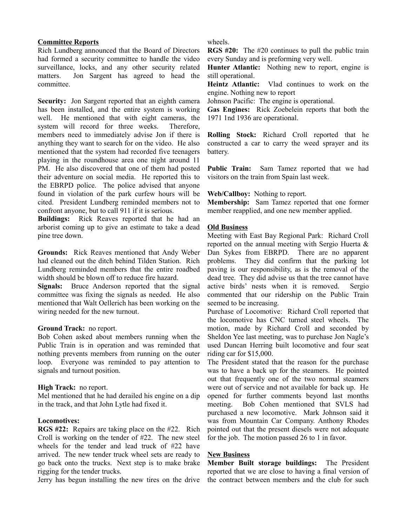#### **Committee Reports**

Rich Lundberg announced that the Board of Directors had formed a security committee to handle the video surveillance, locks, and any other security related matters. Jon Sargent has agreed to head the committee.

**Security:** Jon Sargent reported that an eighth camera has been installed, and the entire system is working well. He mentioned that with eight cameras, the system will record for three weeks. Therefore, members need to immediately advise Jon if there is anything they want to search for on the video. He also mentioned that the system had recorded five teenagers playing in the roundhouse area one night around 11 PM. He also discovered that one of them had posted their adventure on social media. He reported this to the EBRPD police. The police advised that anyone found in violation of the park curfew hours will be cited. President Lundberg reminded members not to confront anyone, but to call 911 if it is serious.

**Buildings:** Rick Reaves reported that he had an arborist coming up to give an estimate to take a dead pine tree down.

**Grounds:** Rick Reaves mentioned that Andy Weber had cleaned out the ditch behind Tilden Station. Rich Lundberg reminded members that the entire roadbed width should be blown off to reduce fire hazard.

**Signals:** Bruce Anderson reported that the signal committee was fixing the signals as needed. He also mentioned that Walt Oellerich has been working on the wiring needed for the new turnout.

#### **Ground Track:** no report.

Bob Cohen asked about members running when the Public Train is in operation and was reminded that nothing prevents members from running on the outer loop. Everyone was reminded to pay attention to signals and turnout position.

#### **High Track:** no report.

Mel mentioned that he had derailed his engine on a dip in the track, and that John Lytle had fixed it.

#### **Locomotives:**

**RGS #22:** Repairs are taking place on the #22. Rich Croll is working on the tender of #22. The new steel wheels for the tender and lead truck of #22 have arrived. The new tender truck wheel sets are ready to go back onto the trucks. Next step is to make brake rigging for the tender trucks.

Jerry has begun installing the new tires on the drive

#### wheels.

**RGS #20:** The #20 continues to pull the public train every Sunday and is preforming very well.

**Hunter Atlantic:** Nothing new to report, engine is still operational.

**Heintz Atlantic:** Vlad continues to work on the engine. Nothing new to report

Johnson Pacific: The engine is operational.

**Gas Engines:** Rick Zoebelein reports that both the 1971 1nd 1936 are operational.

**Rolling Stock:** Richard Croll reported that he constructed a car to carry the weed sprayer and its battery.

**Public Train:** Sam Tamez reported that we had visitors on the train from Spain last week.

#### **Web/Callboy:** Nothing to report.

**Membership:** Sam Tamez reported that one former member reapplied, and one new member applied.

#### **Old Business**

Meeting with East Bay Regional Park: Richard Croll reported on the annual meeting with Sergio Huerta & Dan Sykes from EBRPD. There are no apparent problems. They did confirm that the parking lot paving is our responsibility, as is the removal of the dead tree. They did advise us that the tree cannot have active birds' nests when it is removed. Sergio commented that our ridership on the Public Train seemed to be increasing.

Purchase of Locomotive: Richard Croll reported that the locomotive has CNC turned steel wheels. The motion, made by Richard Croll and seconded by Sheldon Yee last meeting, was to purchase Jon Nagle's used Duncan Herring built locomotive and four seat riding car for \$15,000.

The President stated that the reason for the purchase was to have a back up for the steamers. He pointed out that frequently one of the two normal steamers were out of service and not available for back up. He opened for further comments beyond last months meeting. Bob Cohen mentioned that SVLS had purchased a new locomotive. Mark Johnson said it was from Mountain Car Company. Anthony Rhodes pointed out that the present diesels were not adequate for the job. The motion passed 26 to 1 in favor.

#### **New Business**

**Member Built storage buildings:** The President reported that we are close to having a final version of the contract between members and the club for such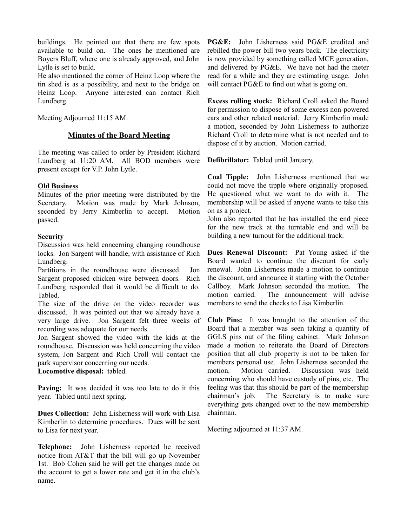buildings. He pointed out that there are few spots available to build on. The ones he mentioned are Boyers Bluff, where one is already approved, and John Lytle is set to build.

He also mentioned the corner of Heinz Loop where the tin shed is as a possibility, and next to the bridge on Heinz Loop. Anyone interested can contact Rich Lundberg.

Meeting Adjourned 11:15 AM.

#### **Minutes of the Board Meeting**

The meeting was called to order by President Richard Lundberg at 11:20 AM. All BOD members were present except for V.P. John Lytle.

#### **Old Business**

Minutes of the prior meeting were distributed by the Secretary. Motion was made by Mark Johnson, seconded by Jerry Kimberlin to accept. Motion passed.

#### **Security**

Discussion was held concerning changing roundhouse locks. Jon Sargent will handle, with assistance of Rich Lundberg.

Partitions in the roundhouse were discussed. Jon Sargent proposed chicken wire between doors. Rich Lundberg responded that it would be difficult to do. Tabled.

The size of the drive on the video recorder was discussed. It was pointed out that we already have a very large drive. Jon Sargent felt three weeks of recording was adequate for our needs.

Jon Sargent showed the video with the kids at the roundhouse. Discussion was held concerning the video system, Jon Sargent and Rich Croll will contact the park supervisor concerning our needs.

#### **Locomotive disposal:** tabled.

**Paving:** It was decided it was too late to do it this year. Tabled until next spring.

**Dues Collection:** John Lisherness will work with Lisa Kimberlin to determine procedures. Dues will be sent to Lisa for next year.

**Telephone:** John Lisherness reported he received notice from AT&T that the bill will go up November 1st. Bob Cohen said he will get the changes made on the account to get a lower rate and get it in the club's name.

**PG&E:** John Lisherness said PG&E credited and rebilled the power bill two years back. The electricity is now provided by something called MCE generation, and delivered by PG&E. We have not had the meter read for a while and they are estimating usage. John will contact PG&E to find out what is going on.

**Excess rolling stock:** Richard Croll asked the Board for permission to dispose of some excess non-powered cars and other related material. Jerry Kimberlin made a motion, seconded by John Lisherness to authorize Richard Croll to determine what is not needed and to dispose of it by auction. Motion carried.

**Defibrillator:** Tabled until January.

**Coal Tipple:** John Lisherness mentioned that we could not move the tipple where originally proposed. He questioned what we want to do with it. The membership will be asked if anyone wants to take this on as a project.

John also reported that he has installed the end piece for the new track at the turntable end and will be building a new turnout for the additional track.

**Dues Renewal Discount:** Pat Young asked if the Board wanted to continue the discount for early renewal. John Lisherness made a motion to continue the discount, and announce it starting with the October Callboy. Mark Johnson seconded the motion. The motion carried. The announcement will advise members to send the checks to Lisa Kimberlin.

**Club Pins:** It was brought to the attention of the Board that a member was seen taking a quantity of GGLS pins out of the filing cabinet. Mark Johnson made a motion to reiterate the Board of Directors position that all club property is not to be taken for members personal use. John Lisherness seconded the motion. Motion carried. Discussion was held concerning who should have custody of pins, etc. The feeling was that this should be part of the membership chairman's job. The Secretary is to make sure everything gets changed over to the new membership chairman.

Meeting adjourned at 11:37 AM.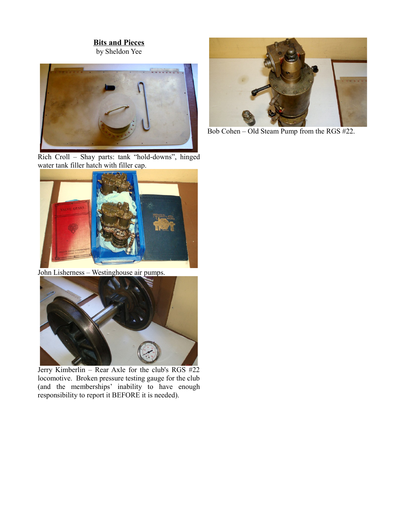## **Bits and Pieces**

by Sheldon Yee



Rich Croll – Shay parts: tank "hold-downs", hinged water tank filler hatch with filler cap.



John Lisherness – Westinghouse air pumps.



Jerry Kimberlin – Rear Axle for the club's RGS #22 locomotive. Broken pressure testing gauge for the club (and the memberships' inability to have enough responsibility to report it BEFORE it is needed).



Bob Cohen – Old Steam Pump from the RGS #22.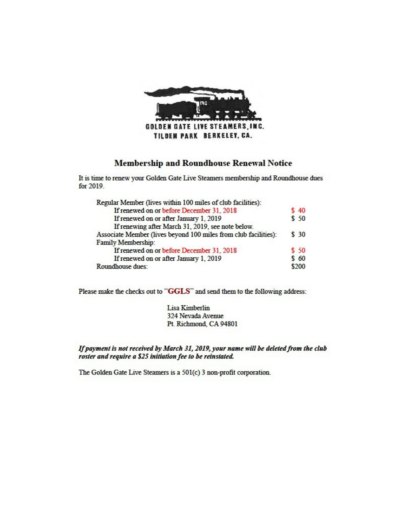

## **Membership and Roundhouse Renewal Notice**

It is time to renew your Golden Gate Live Steamers membership and Roundhouse dues for 2019.

| Regular Member (lives within 100 miles of club facilities):     |      |
|-----------------------------------------------------------------|------|
| If renewed on or before December 31, 2018                       | \$40 |
| If renewed on or after January 1, 2019                          | \$50 |
| If renewing after March 31, 2019, see note below.               |      |
| Associate Member (lives beyond 100 miles from club facilities): | \$30 |
| Family Membership:                                              |      |
| If renewed on or before December 31, 2018                       | \$50 |
| If renewed on or after January 1, 2019                          | \$60 |
| Roundhouse dues:                                                |      |

Please make the checks out to "GGLS" and send them to the following address:

Lisa Kimberlin 324 Nevada Avenue Pt. Richmond, CA 94801

If payment is not received by March 31, 2019, your name will be deleted from the club roster and require a \$25 initiation fee to be reinstated.

The Golden Gate Live Steamers is a 501(c) 3 non-profit corporation.